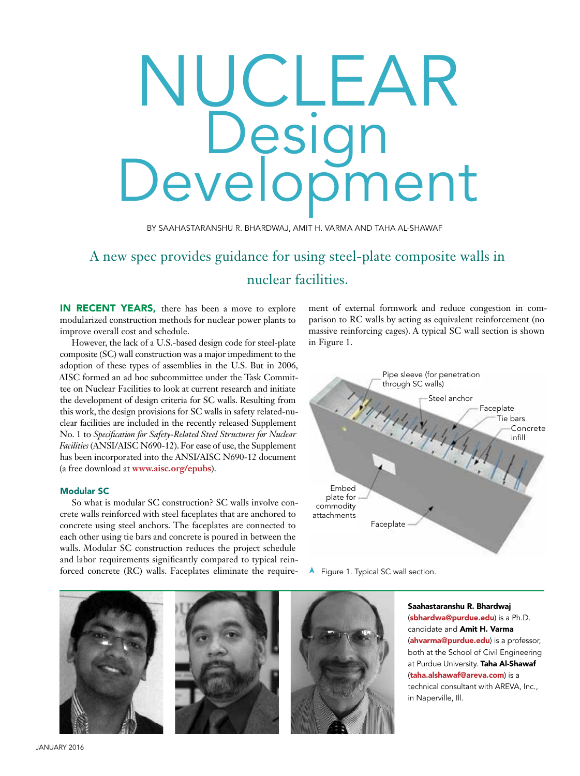# NUCLEAR Design<br>Development

BY SAAHASTARANSHU R. BHARDWAJ, AMIT H. VARMA AND TAHA AL-SHAWAF

# A new spec provides guidance for using steel-plate composite walls in nuclear facilities.

IN RECENT YEARS, there has been a move to explore modularized construction methods for nuclear power plants to improve overall cost and schedule.

However, the lack of a U.S.-based design code for steel-plate composite (SC) wall construction was a major impediment to the adoption of these types of assemblies in the U.S. But in 2006, AISC formed an ad hoc subcommittee under the Task Committee on Nuclear Facilities to look at current research and initiate the development of design criteria for SC walls. Resulting from this work, the design provisions for SC walls in safety related-nuclear facilities are included in the recently released Supplement No. 1 to *Specification for Safety-Related Steel Structures for Nuclear Facilities* (ANSI/AISC N690-12). For ease of use, the Supplement has been incorporated into the ANSI/AISC N690-12 document (a free download at **www.aisc.org/epubs**).

### Modular SC

So what is modular SC construction? SC walls involve concrete walls reinforced with steel faceplates that are anchored to concrete using steel anchors. The faceplates are connected to each other using tie bars and concrete is poured in between the walls. Modular SC construction reduces the project schedule and labor requirements significantly compared to typical reinforced concrete (RC) walls. Faceplates eliminate the requirement of external formwork and reduce congestion in comparison to RC walls by acting as equivalent reinforcement (no massive reinforcing cages). A typical SC wall section is shown in Figure 1.



➤ Figure 1. Typical SC wall section.

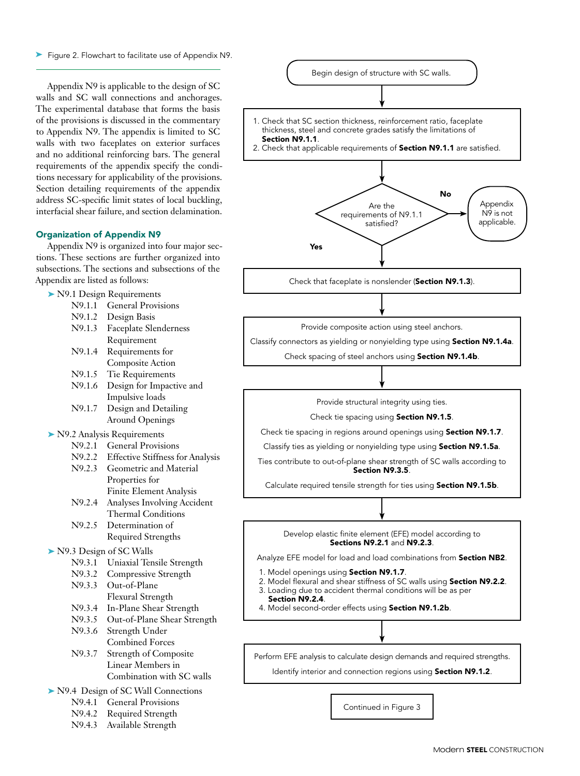Figure 2. Flowchart to facilitate use of Appendix N9.

Appendix N9 is applicable to the design of SC walls and SC wall connections and anchorages. The experimental database that forms the basis of the provisions is discussed in the commentary to Appendix N9. The appendix is limited to SC walls with two faceplates on exterior surfaces and no additional reinforcing bars. The general requirements of the appendix specify the conditions necessary for applicability of the provisions. Section detailing requirements of the appendix address SC-specific limit states of local buckling, interfacial shear failure, and section delamination.

### Organization of Appendix N9

Appendix N9 is organized into four major sections. These sections are further organized into subsections. The sections and subsections of the Appendix are listed as follows:

|                                    | $\blacktriangleright$ N9.1 Design Requirements   |
|------------------------------------|--------------------------------------------------|
| N9.1.1                             | <b>General Provisions</b>                        |
| N9.1.2                             | Design Basis                                     |
| N9.1.3                             | <b>Faceplate Slenderness</b>                     |
|                                    | Requirement                                      |
| N9.1.4                             | Requirements for                                 |
|                                    | <b>Composite Action</b>                          |
| N9.1.5                             | Tie Requirements                                 |
| N9.1.6                             | Design for Impactive and                         |
|                                    | Impulsive loads                                  |
| N9.1.7                             | Design and Detailing                             |
|                                    | <b>Around Openings</b>                           |
|                                    | $\blacktriangleright$ N9.2 Analysis Requirements |
| N9.2.1                             | <b>General Provisions</b>                        |
| N9.2.2                             | <b>Effective Stiffness for Analysis</b>          |
| N9.2.3                             | Geometric and Material                           |
|                                    |                                                  |
|                                    | Properties for                                   |
|                                    | <b>Finite Element Analysis</b>                   |
| N9.2.4                             | Analyses Involving Accident                      |
|                                    | <b>Thermal Conditions</b>                        |
| N9.2.5                             | Determination of                                 |
|                                    | <b>Required Strengths</b>                        |
| N9.3 Design of SC Walls            |                                                  |
| N9.3.1                             | Uniaxial Tensile Strength                        |
| N9.3.2                             | Compressive Strength                             |
| N9.3.3                             | Out-of-Plane                                     |
|                                    | Flexural Strength                                |
| N9.3.4                             | In-Plane Shear Strength                          |
| N9.3.5                             | Out-of-Plane Shear Strength                      |
| N9.3.6                             | Strength Under                                   |
|                                    | <b>Combined Forces</b>                           |
| N9.3.7                             | <b>Strength of Composite</b>                     |
|                                    | Linear Members in                                |
|                                    | Combination with SC walls                        |
| N9.4 Design of SC Wall Connections |                                                  |
| N9.4.1                             | <b>General Provisions</b>                        |
| N9.4.2                             |                                                  |
|                                    | Required Strength                                |
| N9.4.3                             | Available Strength                               |

Appendix N9 is not applicable. 1. Check that SC section thickness, reinforcement ratio, faceplate thickness, steel and concrete grades satisfy the limitations of Section N9.1.1. 2. Check that applicable requirements of **Section N9.1.1** are satisfied. Begin design of structure with SC walls. Check that faceplate is nonslender (Section N9.1.3). Provide composite action using steel anchors. Classify connectors as yielding or nonyielding type using Section N9.1.4a. Check spacing of steel anchors using Section N9.1.4b. Provide structural integrity using ties. Check tie spacing using Section N9.1.5. Check tie spacing in regions around openings using Section N9.1.7. Classify ties as yielding or nonyielding type using Section N9.1.5a. Ties contribute to out-of-plane shear strength of SC walls according to Section N9.3.5. Calculate required tensile strength for ties using Section N9.1.5b. Are the requirements of N9.1.1 satisfied? No Yes

> Develop elastic finite element (EFE) model according to Sections N9.2.1 and N9.2.3.

Analyze EFE model for load and load combinations from Section NB2.

- 1. Model openings using Section N9.1.7.
- 2. Model flexural and shear stiffness of SC walls using **Section N9.2.2**.<br>3. Loading due to accident thermal conditions will be as per
- Loading due to accident thermal conditions will be as per
- Section N9.2.4.

4. Model second-order effects using Section N9.1.2b.

Perform EFE analysis to calculate design demands and required strengths.

Identify interior and connection regions using Section N9.1.2.

Continued in Figure 3